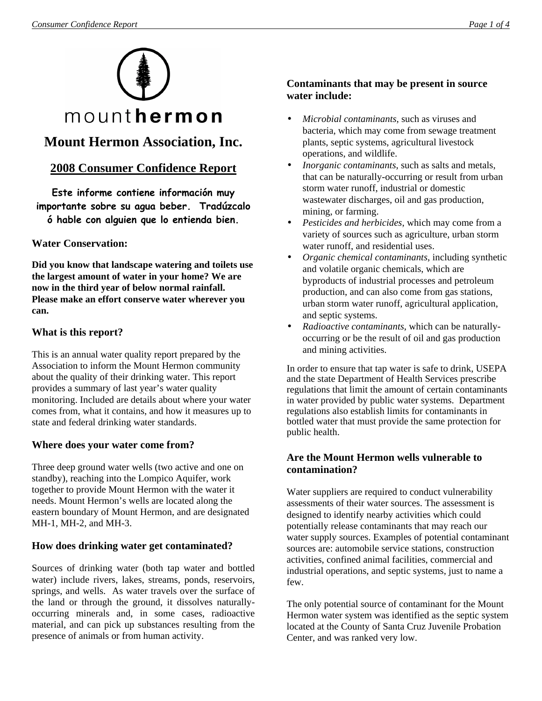

# **Mount Hermon Association, Inc.**

## **2008 Consumer Confidence Report**

Este informe contiene información muy importante sobre su agua beber. Tradúzcalo ó hable con alguien que lo entienda bien.

### **Water Conservation:**

**Did you know that landscape watering and toilets use the largest amount of water in your home? We are now in the third year of below normal rainfall. Please make an effort conserve water wherever you can.** 

#### **What is this report?**

This is an annual water quality report prepared by the Association to inform the Mount Hermon community about the quality of their drinking water. This report provides a summary of last year's water quality monitoring. Included are details about where your water comes from, what it contains, and how it measures up to state and federal drinking water standards.

### **Where does your water come from?**

Three deep ground water wells (two active and one on standby), reaching into the Lompico Aquifer, work together to provide Mount Hermon with the water it needs. Mount Hermon's wells are located along the eastern boundary of Mount Hermon, and are designated MH-1, MH-2, and MH-3.

### **How does drinking water get contaminated?**

Sources of drinking water (both tap water and bottled water) include rivers, lakes, streams, ponds, reservoirs, springs, and wells. As water travels over the surface of the land or through the ground, it dissolves naturallyoccurring minerals and, in some cases, radioactive material, and can pick up substances resulting from the presence of animals or from human activity.

### **Contaminants that may be present in source water include:**

- *Microbial contaminants*, such as viruses and bacteria, which may come from sewage treatment plants, septic systems, agricultural livestock operations, and wildlife.
- *Inorganic contaminants*, such as salts and metals, that can be naturally-occurring or result from urban storm water runoff, industrial or domestic wastewater discharges, oil and gas production, mining, or farming.
- *Pesticides and herbicides*, which may come from a variety of sources such as agriculture, urban storm water runoff, and residential uses.
- *Organic chemical contaminants*, including synthetic and volatile organic chemicals, which are byproducts of industrial processes and petroleum production, and can also come from gas stations, urban storm water runoff, agricultural application, and septic systems.
- *Radioactive contaminants*, which can be naturallyoccurring or be the result of oil and gas production and mining activities.

In order to ensure that tap water is safe to drink, USEPA and the state Department of Health Services prescribe regulations that limit the amount of certain contaminants in water provided by public water systems. Department regulations also establish limits for contaminants in bottled water that must provide the same protection for public health.

#### **Are the Mount Hermon wells vulnerable to contamination?**

Water suppliers are required to conduct vulnerability assessments of their water sources. The assessment is designed to identify nearby activities which could potentially release contaminants that may reach our water supply sources. Examples of potential contaminant sources are: automobile service stations, construction activities, confined animal facilities, commercial and industrial operations, and septic systems, just to name a few.

The only potential source of contaminant for the Mount Hermon water system was identified as the septic system located at the County of Santa Cruz Juvenile Probation Center, and was ranked very low.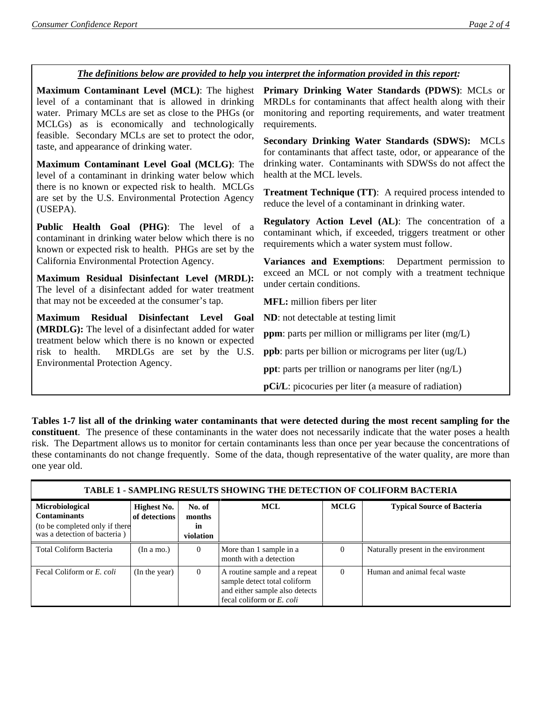#### *The definitions below are provided to help you interpret the information provided in this report:*

**Maximum Contaminant Level (MCL)**: The highest level of a contaminant that is allowed in drinking water. Primary MCLs are set as close to the PHGs (or MCLGs) as is economically and technologically feasible. Secondary MCLs are set to protect the odor, taste, and appearance of drinking water.

**Maximum Contaminant Level Goal (MCLG)**: The level of a contaminant in drinking water below which there is no known or expected risk to health. MCLGs are set by the U.S. Environmental Protection Agency (USEPA).

**Public Health Goal (PHG)**: The level of a contaminant in drinking water below which there is no known or expected risk to health. PHGs are set by the California Environmental Protection Agency.

**Maximum Residual Disinfectant Level (MRDL):** The level of a disinfectant added for water treatment that may not be exceeded at the consumer's tap.

**Maximum Residual Disinfectant Level Goal (MRDLG):** The level of a disinfectant added for water treatment below which there is no known or expected risk to health. MRDLGs are set by the U.S. Environmental Protection Agency.

**Primary Drinking Water Standards (PDWS)**: MCLs or MRDLs for contaminants that affect health along with their monitoring and reporting requirements, and water treatment requirements.

**Secondary Drinking Water Standards (SDWS):** MCLs for contaminants that affect taste, odor, or appearance of the drinking water. Contaminants with SDWSs do not affect the health at the MCL levels.

**Treatment Technique (TT)**: A required process intended to reduce the level of a contaminant in drinking water.

**Regulatory Action Level (AL)**: The concentration of a contaminant which, if exceeded, triggers treatment or other requirements which a water system must follow.

**Variances and Exemptions**: Department permission to exceed an MCL or not comply with a treatment technique under certain conditions.

**MFL:** million fibers per liter

**ND**: not detectable at testing limit

**ppm**: parts per million or milligrams per liter (mg/L)

**ppb**: parts per billion or micrograms per liter (ug/L)

**ppt**: parts per trillion or nanograms per liter (ng/L)

**pCi/L**: picocuries per liter (a measure of radiation)

**Tables 1-7 list all of the drinking water contaminants that were detected during the most recent sampling for the constituent**. The presence of these contaminants in the water does not necessarily indicate that the water poses a health risk. The Department allows us to monitor for certain contaminants less than once per year because the concentrations of these contaminants do not change frequently. Some of the data, though representative of the water quality, are more than one year old.

| <b>TABLE 1 - SAMPLING RESULTS SHOWING THE DETECTION OF COLIFORM BACTERIA</b>                                    |                              |                                     |                                                                                                                              |             |                                      |  |  |  |
|-----------------------------------------------------------------------------------------------------------------|------------------------------|-------------------------------------|------------------------------------------------------------------------------------------------------------------------------|-------------|--------------------------------------|--|--|--|
| <b>Microbiological</b><br><b>Contaminants</b><br>(to be completed only if there<br>was a detection of bacteria) | Highest No.<br>of detections | No. of<br>months<br>in<br>violation | <b>MCL</b>                                                                                                                   | <b>MCLG</b> | <b>Typical Source of Bacteria</b>    |  |  |  |
| Total Coliform Bacteria                                                                                         | (In a mo.)                   | $\Omega$                            | More than 1 sample in a<br>month with a detection                                                                            | $\left($    | Naturally present in the environment |  |  |  |
| Fecal Coliform or E. coli                                                                                       | (In the year)                | $\overline{0}$                      | A routine sample and a repeat<br>sample detect total coliform<br>and either sample also detects<br>fecal coliform or E. coli | $\Omega$    | Human and animal fecal waste         |  |  |  |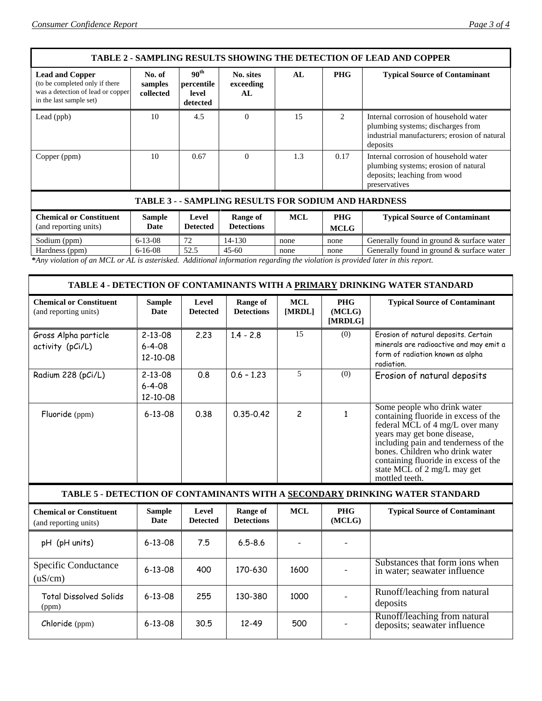| <b>TABLE 2 - SAMPLING RESULTS SHOWING THE DETECTION OF LEAD AND COPPER</b>                                               |                                |                                                     |                               |            |                             |                                                                                                                                        |  |
|--------------------------------------------------------------------------------------------------------------------------|--------------------------------|-----------------------------------------------------|-------------------------------|------------|-----------------------------|----------------------------------------------------------------------------------------------------------------------------------------|--|
| <b>Lead and Copper</b><br>(to be completed only if there<br>was a detection of lead or copper<br>in the last sample set) | No. of<br>samples<br>collected | 90 <sup>th</sup><br>percentile<br>level<br>detected | No. sites<br>exceeding<br>AL. | AL         | <b>PHG</b>                  | <b>Typical Source of Contaminant</b>                                                                                                   |  |
| Lead (ppb)                                                                                                               | 10                             | 4.5                                                 | $\Omega$                      | 15         | $\mathcal{D}_{\mathcal{L}}$ | Internal corrosion of household water<br>plumbing systems; discharges from<br>industrial manufacturers; erosion of natural<br>deposits |  |
| Copper (ppm)                                                                                                             | 10                             | 0.67                                                | $\Omega$                      | 1.3        | 0.17                        | Internal corrosion of household water<br>plumbing systems; erosion of natural<br>deposits; leaching from wood<br>preservatives         |  |
| <b>TABLE 3 - - SAMPLING RESULTS FOR SODIUM AND HARDNESS</b>                                                              |                                |                                                     |                               |            |                             |                                                                                                                                        |  |
| <b>Chemical or Constituent</b><br>(and reporting units)                                                                  | <b>Sample</b><br>Date          | Level<br><b>Detected</b>                            | Range of<br><b>Detections</b> | <b>MCL</b> | <b>PHG</b><br><b>MCLG</b>   | <b>Typical Source of Contaminant</b>                                                                                                   |  |
| Sodium (ppm)                                                                                                             | $6 - 13 - 08$                  | 72                                                  | 14-130                        | none       | none                        | Generally found in ground & surface water                                                                                              |  |

Hardness (ppm) 6-16-08 52.5 45-60 none none Generally found in ground & surface water **\****Any violation of an MCL or AL is asterisked. Additional information regarding the violation is provided later in this report.* 

#### **TABLE 4 - DETECTION OF CONTAMINANTS WITH A PRIMARY DRINKING WATER STANDARD**

| <b>Chemical or Constituent</b><br>(and reporting units) | <b>Sample</b><br>Date                           | Level<br><b>Detected</b> | Range of<br><b>Detections</b> | MCL<br>[MRDL] | <b>PHG</b><br>(MCLG)<br>[MRDLG] | <b>Typical Source of Contaminant</b>                                                                                                                                                                                                                                                                      |
|---------------------------------------------------------|-------------------------------------------------|--------------------------|-------------------------------|---------------|---------------------------------|-----------------------------------------------------------------------------------------------------------------------------------------------------------------------------------------------------------------------------------------------------------------------------------------------------------|
| Gross Alpha particle<br>activity (pCi/L)                | $2 - 13 - 08$<br>$6 - 4 - 08$<br>$12 - 10 - 08$ | 2,23                     | $1.4 - 2.8$                   | 15            | (0)                             | Erosion of natural deposits. Certain<br>minerals are radioactive and may emit a<br>form of radiation known as alpha<br>radiation.                                                                                                                                                                         |
| Radium 228 (pCi/L)                                      | $2 - 13 - 08$<br>$6 - 4 - 08$<br>$12 - 10 - 08$ | 0.8                      | $0.6 - 1.23$                  | 5             | (0)                             | Erosion of natural deposits                                                                                                                                                                                                                                                                               |
| Fluoride (ppm)                                          | $6 - 13 - 08$                                   | 0.38                     | $0.35 - 0.42$                 | $\mathcal{P}$ |                                 | Some people who drink water<br>containing fluoride in excess of the<br>federal MCL of 4 mg/L over many<br>years may get bone disease,<br>including pain and tenderness of the<br>bones. Children who drink water<br>containing fluoride in excess of the<br>state MCL of 2 mg/L may get<br>mottled teeth. |

#### **TABLE 5 - DETECTION OF CONTAMINANTS WITH A SECONDARY DRINKING WATER STANDARD**

| <b>Chemical or Constituent</b><br>(and reporting units) | Sample<br>Date | Level<br><b>Detected</b> | Range of<br><b>Detections</b> | <b>MCL</b> | <b>PHG</b><br>(MCLG) | <b>Typical Source of Contaminant</b>                           |
|---------------------------------------------------------|----------------|--------------------------|-------------------------------|------------|----------------------|----------------------------------------------------------------|
| (pH units)<br>pН.                                       | $6 - 13 - 08$  | 7.5                      | $6.5 - 8.6$                   |            |                      |                                                                |
| Specific Conductance<br>(uS/cm)                         | $6 - 13 - 08$  | 400                      | 170-630                       | 1600       |                      | Substances that form ions when<br>in water; seawater influence |
| Total Dissolved Solids<br>(ppm)                         | $6 - 13 - 08$  | 255                      | 130-380                       | 1000       |                      | Runoff/leaching from natural<br>deposits                       |
| Chloride (ppm)                                          | $6 - 13 - 08$  | 30.5                     | $12 - 49$                     | 500        |                      | Runoff/leaching from natural<br>deposits; seawater influence   |